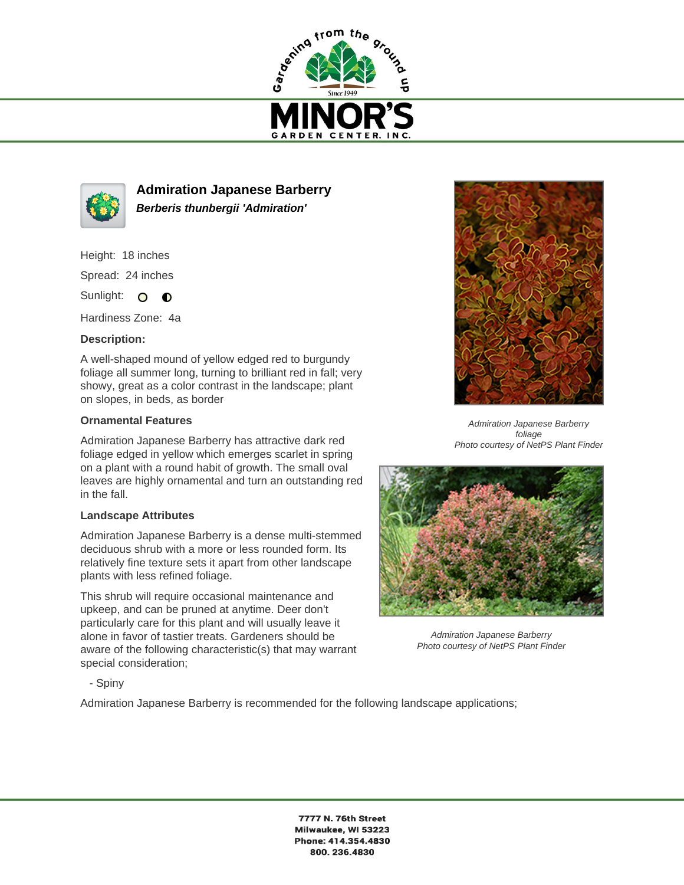



**Admiration Japanese Barberry Berberis thunbergii 'Admiration'**

Height: 18 inches

Spread: 24 inches

Sunlight: O **O** 

Hardiness Zone: 4a

## **Description:**

A well-shaped mound of yellow edged red to burgundy foliage all summer long, turning to brilliant red in fall; very showy, great as a color contrast in the landscape; plant on slopes, in beds, as border

## **Ornamental Features**

Admiration Japanese Barberry has attractive dark red foliage edged in yellow which emerges scarlet in spring on a plant with a round habit of growth. The small oval leaves are highly ornamental and turn an outstanding red in the fall.

## **Landscape Attributes**

Admiration Japanese Barberry is a dense multi-stemmed deciduous shrub with a more or less rounded form. Its relatively fine texture sets it apart from other landscape plants with less refined foliage.

This shrub will require occasional maintenance and upkeep, and can be pruned at anytime. Deer don't particularly care for this plant and will usually leave it alone in favor of tastier treats. Gardeners should be aware of the following characteristic(s) that may warrant special consideration;



Admiration Japanese Barberry foliage Photo courtesy of NetPS Plant Finder



Admiration Japanese Barberry Photo courtesy of NetPS Plant Finder

- Spiny

Admiration Japanese Barberry is recommended for the following landscape applications;

7777 N. 76th Street Milwaukee, WI 53223 Phone: 414.354.4830 800.236.4830